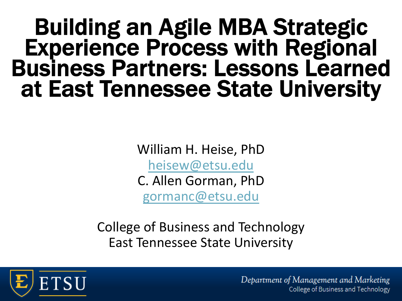# Building an Agile MBA Strategic Experience Process with Regional Business Partners: Lessons Learned at East Tennessee State University

William H. Heise, PhD [heisew@etsu.edu](mailto:heisew@etsu.edu)

C. Allen Gorman, PhD

[gormanc@etsu.edu](mailto:gormanc@etsu.edu)

College of Business and Technology East Tennessee State University



Department of Management and Marketing College of Business and Technology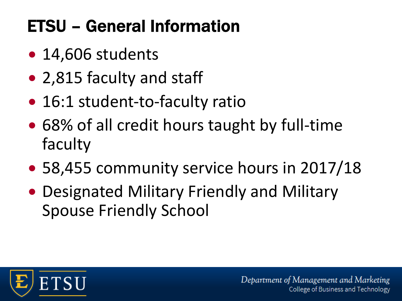# ETSU – General Information

- 14,606 students
- 2,815 faculty and staff
- 16:1 student-to-faculty ratio
- 68% of all credit hours taught by full-time faculty
- 58,455 community service hours in 2017/18
- Designated Military Friendly and Military Spouse Friendly School

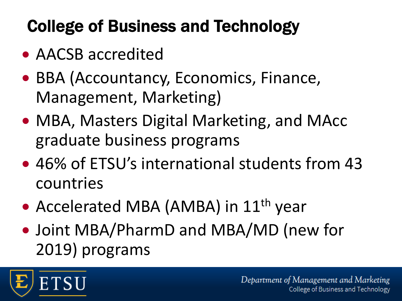## College of Business and Technology

- AACSB accredited
- BBA (Accountancy, Economics, Finance, Management, Marketing)
- MBA, Masters Digital Marketing, and MAcc graduate business programs
- 46% of ETSU's international students from 43 countries
- Accelerated MBA (AMBA) in 11<sup>th</sup> year
- Joint MBA/PharmD and MBA/MD (new for 2019) programs

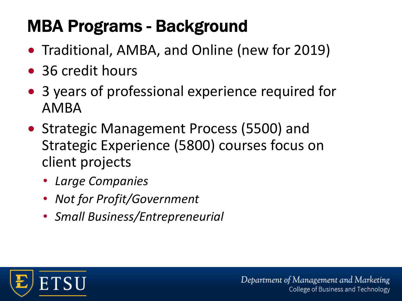## MBA Programs - Background

- Traditional, AMBA, and Online (new for 2019)
- 36 credit hours
- 3 years of professional experience required for AMBA
- Strategic Management Process (5500) and Strategic Experience (5800) courses focus on client projects
	- *Large Companies*
	- *Not for Profit/Government*
	- *Small Business/Entrepreneurial*

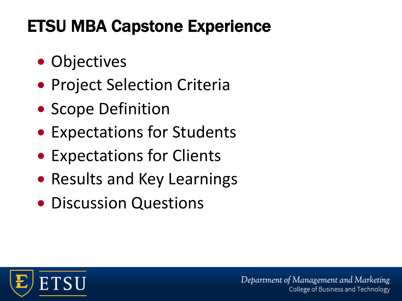### ETSU MBA Capstone Experience

- Objectives
- Project Selection Criteria
- Scope Definition
- Expectations for Students
- Expectations for Clients
- Results and Key Learnings
- Discussion Questions

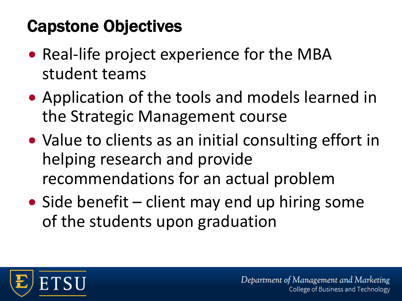#### Capstone Objectives

- Real-life project experience for the MBA student teams
- Application of the tools and models learned in the Strategic Management course
- Value to clients as an initial consulting effort in helping research and provide recommendations for an actual problem
- Side benefit client may end up hiring some of the students upon graduation

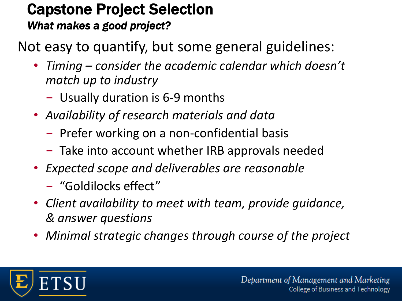#### Capstone Project Selection *What makes a good project?*

Not easy to quantify, but some general guidelines:

- *Timing – consider the academic calendar which doesn't match up to industry*
	- Usually duration is 6-9 months
- *Availability of research materials and data*
	- Prefer working on a non-confidential basis
	- Take into account whether IRB approvals needed
- *Expected scope and deliverables are reasonable*
	- "Goldilocks effect"
- *Client availability to meet with team, provide guidance, & answer questions*
- *Minimal strategic changes through course of the project*

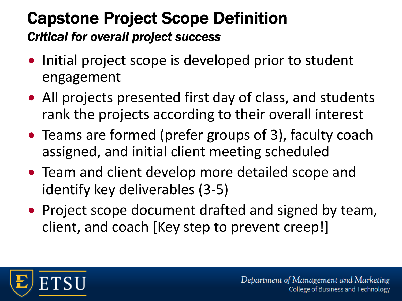#### Capstone Project Scope Definition *Critical for overall project success*

- Initial project scope is developed prior to student engagement
- All projects presented first day of class, and students rank the projects according to their overall interest
- Teams are formed (prefer groups of 3), faculty coach assigned, and initial client meeting scheduled
- Team and client develop more detailed scope and identify key deliverables (3-5)
- Project scope document drafted and signed by team, client, and coach [Key step to prevent creep!]

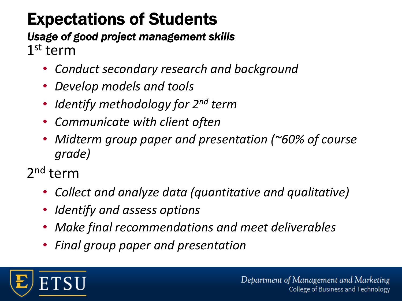### Expectations of Students

*Usage of good project management skills* 1<sup>st</sup> term

- *Conduct secondary research and background*
- *Develop models and tools*
- *Identify methodology for 2nd term*
- *Communicate with client often*
- *Midterm group paper and presentation (~60% of course grade)*
- 2nd term
	- *Collect and analyze data (quantitative and qualitative)*
	- *Identify and assess options*
	- *Make final recommendations and meet deliverables*
	- *Final group paper and presentation*

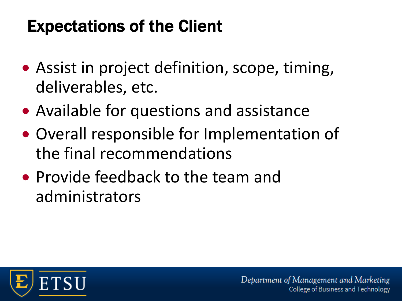#### Expectations of the Client

- Assist in project definition, scope, timing, deliverables, etc.
- Available for questions and assistance
- Overall responsible for Implementation of the final recommendations
- Provide feedback to the team and administrators

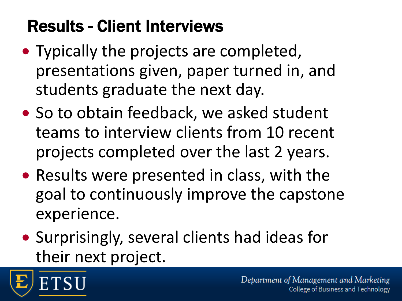## Results - Client Interviews

- Typically the projects are completed, presentations given, paper turned in, and students graduate the next day.
- So to obtain feedback, we asked student teams to interview clients from 10 recent projects completed over the last 2 years.
- Results were presented in class, with the goal to continuously improve the capstone experience.
- Surprisingly, several clients had ideas for their next project.

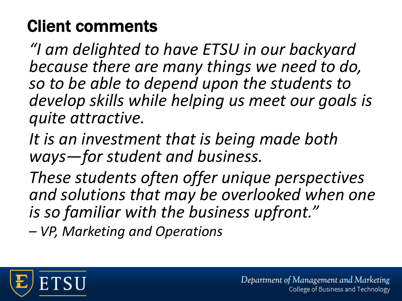#### Client comments

*"I am delighted to have ETSU in our backyard because there are many things we need to do, so to be able to depend upon the students to develop skills while helping us meet our goals is quite attractive.* 

*It is an investment that is being made both ways—for student and business.* 

*These students often offer unique perspectives and solutions that may be overlooked when one is so familiar with the business upfront."* 

*– VP, Marketing and Operations*

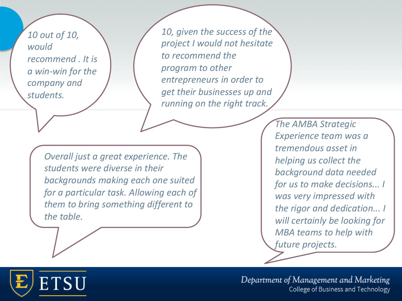*10 out of 10, would recommend . It is a win-win for the company and students.* 

*10, given the success of the project I would not hesitate to recommend the program to other entrepreneurs in order to get their businesses up and running on the right track.*

*Overall just a great experience. The students were diverse in their backgrounds making each one suited for a particular task. Allowing each of them to bring something different to the table.*

*The AMBA Strategic Experience team was a tremendous asset in helping us collect the background data needed for us to make decisions... I was very impressed with the rigor and dedication... I will certainly be looking for MBA teams to help with future projects.* 

ETSU

Department of Management and Marketing **13** Copyright ©2017 Cengage Learning. All Rights Reserved. May not be scanned, copied or duplicated, or posted to a publicly accessible website, in whole or in part. HRM4 | CH13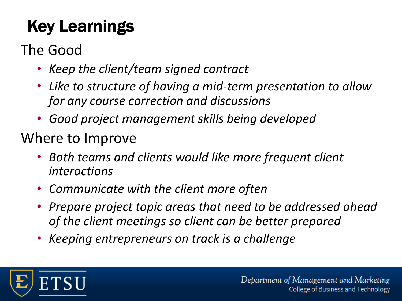# Key Learnings

#### The Good

- *Keep the client/team signed contract*
- *Like to structure of having a mid-term presentation to allow for any course correction and discussions*
- *Good project management skills being developed*

#### Where to Improve

- *Both teams and clients would like more frequent client interactions*
- *Communicate with the client more often*
- *Prepare project topic areas that need to be addressed ahead of the client meetings so client can be better prepared*
- *Keeping entrepreneurs on track is a challenge*